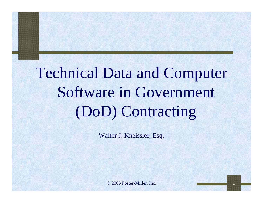# Technical Data and Computer Software in Government (DoD) Contracting

Walter J. Kneissler, Esq.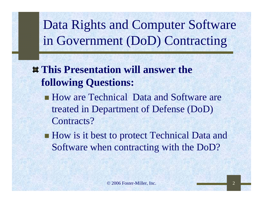# Data Rights and Computer Software in Government (DoD) Contracting

## **This Presentation will answer the following Questions:**

- How are Technical Data and Software are treated in Department of Defense (DoD) Contracts?
- **How is it best to protect Technical Data and** Software when contracting with the DoD?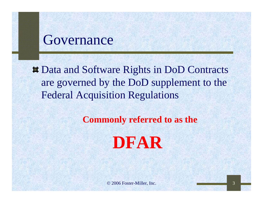## Governance

 $\#$  **Data and Software Rights in DoD Contracts** are governed by the DoD supplement to the Federal Acquisition Regulations

**Commonly referred to as the**

**DFAR**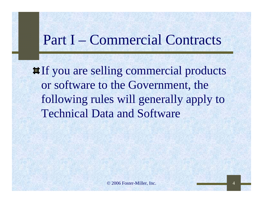# Part I – Commercial Contracts

**If** you are selling commercial products or software to the Government, the following rules will generally apply to Technical Data and Software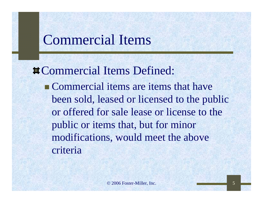# Commercial Items

**¤Commercial Items Defined: Commercial items are items that have** been sold, leased or licensed to the public or offered for sale lease or license to the public or items that, but for minor modifications, would meet the above criteria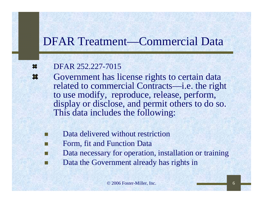## DFAR Treatment—Commercial Data

#### DFAR 252.227-7015■

- Government has license rights to certain data 28 related to commercial Contracts—i.e. the right to use modify, reproduce, release, perform, display or disclose, and permit others to do so. This data includes the following:
	- Data delivered without restriction
	- Form, fit and Function Data
	- Data necessary for operation, installation or training
	- Data the Government already has rights in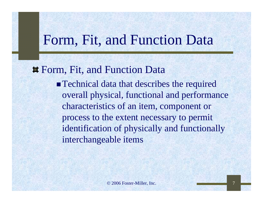# Form, Fit, and Function Data

### Form, Fit, and Function Data

**Technical data that describes the required** overall physical, functional and performance characteristics of an item, component or process to the extent necessary to permit identification of physically and functionally interchangeable items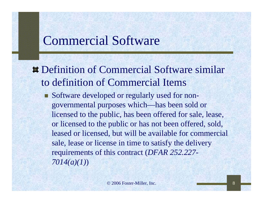## Commercial Software

Definition of Commercial Software similar to definition of Commercial Items

 Software developed or regularly used for nongovernmental purposes which—has been sold or licensed to the public, has been offered for sale, lease, or licensed to the public or has not been offered, sold, leased or licensed, but will be available for commercial sale, lease or license in time to satisfy the delivery requirements of this contract (*DFAR 252.227- 7014(a)(1)*)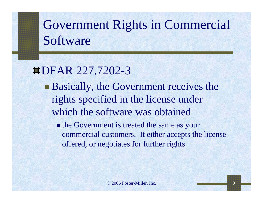# Government Rights in Commercial Software

## DFAR 227.7202-3

**Basically, the Government receives the** rights specified in the license under which the software was obtained

• the Government is treated the same as your commercial customers. It either accepts the license offered, or negotiates for further rights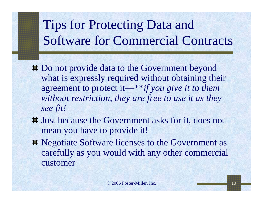# Tips for Protecting Data and Software for Commercial Contracts

- Do not provide data to the Government beyond what is expressly required without obtaining their agreement to protect it—\*\**if you give it to them without restriction, they are free to use it as they see fit!*
- Just because the Government asks for it, does not mean you have to provide it!
- $\blacksquare$  Negotiate Software licenses to the Government as carefully as you would with any other commercial customer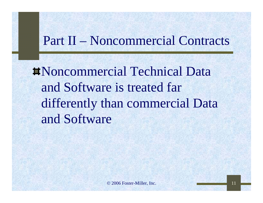# Part II – Noncommercial Contracts

Noncommercial Technical Data and Software is treated far differently than commercial Data and Software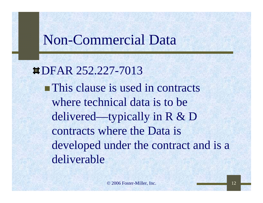# Non-Commercial Data

DFAR 252.227-7013**This clause is used in contracts** where technical data is to be delivered—typically in R & D contracts where the Data is developed under the contract and is a deliverable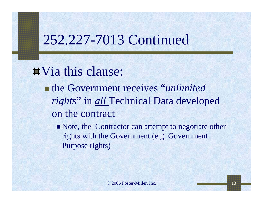# 252.227-7013 Continued

**T**Via this clause:

- the Government receives "*unlimited rights*" in *all* Technical Data developed on the contract
	- Note, the Contractor can attempt to negotiate other rights with the Government (e.g. Government Purpose rights)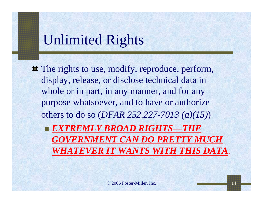# Unlimited Rights

 $\#$  The rights to use, modify, reproduce, perform, display, release, or disclose technical data in whole or in part, in any manner, and for any purpose whatsoever, and to have or authorize others to do so (*DFAR 252.227-7013 (a)(15)*)

 *EXTREMLY BROAD RIGHTS—THE GOVERNMENT CAN DO PRETTY MUCH WHATEVER IT WANTS WITH THIS DATA*.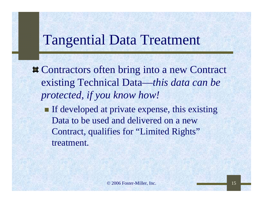# Tangential Data Treatment

 $\blacksquare$  Contractors often bring into a new Contract existing Technical Data—*this data can be protected, if you know how!*

 $\blacksquare$  If developed at private expense, this existing Data to be used and delivered on a new Contract, qualifies for "Limited Rights" treatment.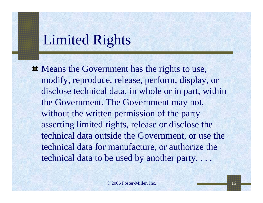# Limited Rights

 $\blacksquare$  Means the Government has the rights to use, modify, reproduce, release, perform, display, or disclose technical data, in whole or in part, within the Government. The Government may not, without the written permission of the party asserting limited rights, release or disclose the technical data outside the Government, or use the technical data for manufacture, or authorize the technical data to be used by another party. . . .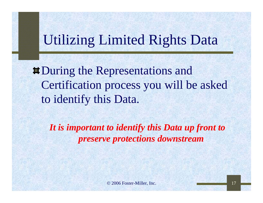# Utilizing Limited Rights Data

 $\blacksquare$  During the Representations and Certification process you will be asked to identify this Data.

*It is important to identify this Data up front to preserve protections downstream*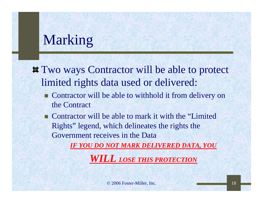# Marking

- **T** Two ways Contractor will be able to protect limited rights data used or delivered:
	- **Contractor will be able to withhold it from delivery on** the Contract
	- Contractor will be able to mark it with the "Limited" Rights" legend, which delineates the rights the Government receives in the Data

*IF YOU DO NOT MARK DELIVERED DATA, YOU* 

*WILL LOSE THIS PROTECTION*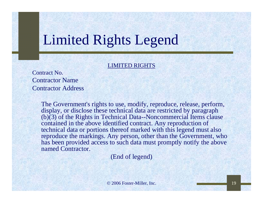# Limited Rights Legend

### LIMITED RIGHTS

Contract No.Contractor NameContractor Address

> The Government's rights to use, modify, reproduce, release, perform, display, or disclose these technical data are restricted by paragraph  $(b)(3)$  of the Rights in Technical Data--Noncommercial Items clause contained in the above identified contract. Any reproduction of technical data or portions thereof marked with this legend must also reproduce the markings. Any person, other than the Government, who has been provided access to such data must promptly notify the above named Contractor.

> > (End of legend)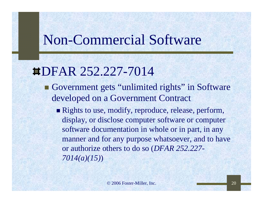# Non-Commercial Software

# DFAR 252.227-7014

- Government gets "unlimited rights" in Software developed on a Government Contract
	- Rights to use, modify, reproduce, release, perform, display, or disclose computer software or computer software documentation in whole or in part, in any manner and for any purpose whatsoever, and to have or authorize others to do so (*DFAR 252.227- 7014(a)(15)*)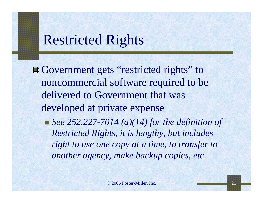# Restricted Rights

 $\#$  **Government gets "restricted rights" to** noncommercial software required to be delivered to Government that was developed at private expense

■ *See 252.227-7014 (a)(14) for the definition of Restricted Rights, it is lengthy, but includes right to use one copy at a time, to transfer to another agency, make backup copies, etc.*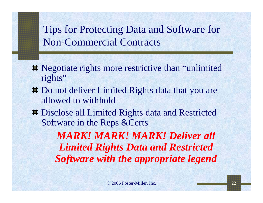## Tips for Protecting Data and Software for Non-Commercial Contracts

- **EXECUTE:** Negotiate rights more restrictive than "unlimited" rights"
- **Do not deliver Limited Rights data that you are** allowed to withhold
- **Disclose all Limited Rights data and Restricted** Software in the Reps &Certs

*MARK! MARK! MARK! Deliver all Limited Rights Data and Restricted Software with the appropriate legend*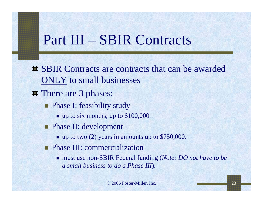# Part III – SBIR Contracts

- $\sharp$  **SBIR Contracts are contracts that can be awarded** ONLY to small businesses
- **There are 3 phases:** 
	- **Phase I: feasibility study** 
		- up to six months, up to \$100,000
	- **Phase II: development** 
		- $\blacksquare$  up to two (2) years in amounts up to \$750,000.
	- **Phase III: commercialization** 
		- must use non-SBIR Federal funding (*Note: DO not have to be a small business to do a Phase III*).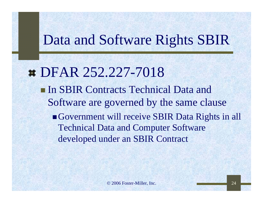# Data and Software Rights SBIR

**# DFAR 252.227-7018 In SBIR Contracts Technical Data and** Software are governed by the same clause Government will receive SBIR Data Rights in all Technical Data and Computer Software developed under an SBIR Contract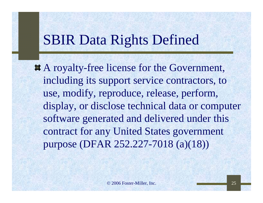# SBIR Data Rights Defined

A royalty-free license for the Government, including its support service contractors, to use, modify, reproduce, release, perform, display, or disclose technical data or computer software generated and delivered under this contract for any United States government purpose (DFAR 252.227-7018 (a)(18))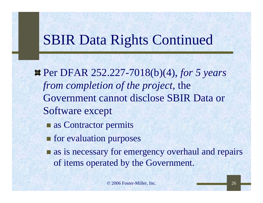# SBIR Data Rights Continued

- Per DFAR 252.227-7018(b)(4), *for 5 years from completion of the project*, the Government cannot disclose SBIR Data or Software except
	- as Contractor permits
	- **for evaluation purposes**
	- **a** as is necessary for emergency overhaul and repairs of items operated by the Government.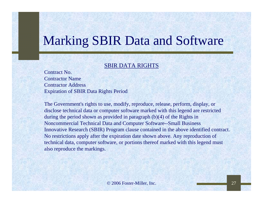# Marking SBIR Data and Software

#### SBIR DATA RIGHTS

Contract No.Contractor NameContractor AddressExpiration of SBIR Data Rights Period

The Government's rights to use, modify, reproduce, release, perform, display, or disclose technical data or computer software marked with this legend are restricted during the period shown as provided in paragraph (b)(4) of the Rights in Noncommercial Technical Data and Computer Software--Small Business Innovative Research (SBIR) Program clause contained in the above identified contract. No restrictions apply after the expiration date shown above. Any reproduction of technical data, computer software, or portions thereof marked with this legend must also reproduce the markings.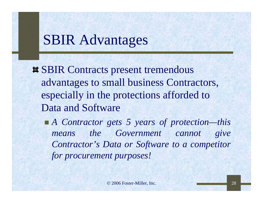# SBIR Advantages

**EXAMPLE SET SHIR Contracts present tremendous** advantages to small business Contractors, especially in the protections afforded to Data and Software

■ *A Contractor gets 5 years of protection—this means the Government cannot give Contractor's Data or Software to a competitor for procurement purposes!*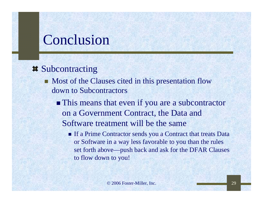# Conclusion

### **Exercise** Subcontracting

- Most of the Clauses cited in this presentation flow down to Subcontractors
	- **This means that even if you are a subcontractor** on a Government Contract, the Data and Software treatment will be the same
		- **If a Prime Contractor sends you a Contract that treats Data** or Software in a way less favorable to you than the rules set forth above—push back and ask for the DFAR Clauses to flow down to you!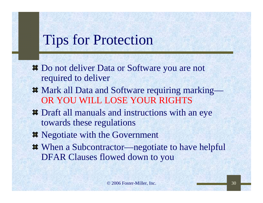# Tips for Protection

- $\blacksquare$  Do not deliver Data or Software you are not required to deliver
- Mark all Data and Software requiring marking— OR YOU WILL LOSE YOUR RIGHTS
- Draft all manuals and instructions with an eye towards these regulations
- $\blacksquare$  Negotiate with the Government
- When a Subcontractor—negotiate to have helpful DFAR Clauses flowed down to you